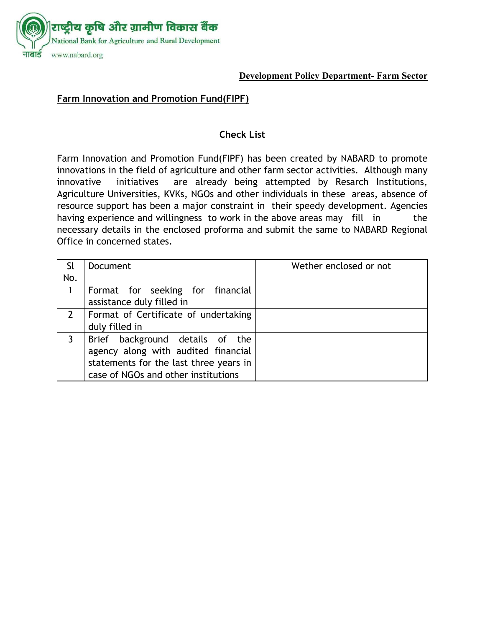

#### **Development Policy Department- Farm Sector**

## **Farm Innovation and Promotion Fund(FIPF)**

#### **Check List**

Farm Innovation and Promotion Fund(FIPF) has been created by NABARD to promote innovations in the field of agriculture and other farm sector activities. Although many innovative initiatives are already being attempted by Resarch Institutions, Agriculture Universities, KVKs, NGOs and other individuals in these areas, absence of resource support has been a major constraint in their speedy development. Agencies having experience and willingness to work in the above areas may fill in the necessary details in the enclosed proforma and submit the same to NABARD Regional Office in concerned states.

| Sl  | Document                               | Wether enclosed or not |  |
|-----|----------------------------------------|------------------------|--|
| No. |                                        |                        |  |
|     | Format for seeking for financial       |                        |  |
|     | assistance duly filled in              |                        |  |
|     | Format of Certificate of undertaking   |                        |  |
|     | duly filled in                         |                        |  |
|     | Brief background details of the        |                        |  |
|     | agency along with audited financial    |                        |  |
|     | statements for the last three years in |                        |  |
|     | case of NGOs and other institutions    |                        |  |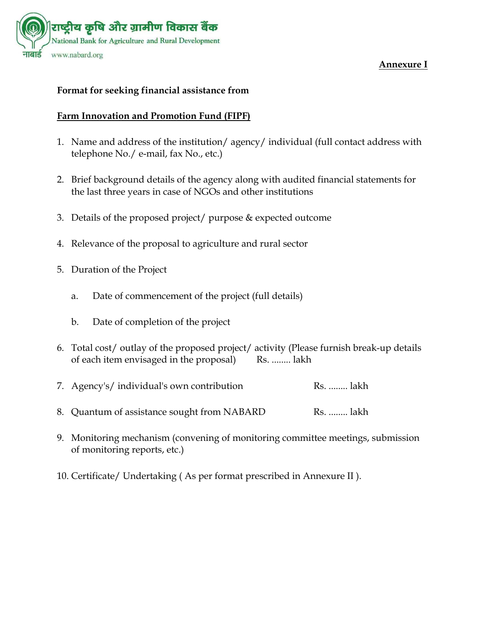

### **Annexure I**

#### **Format for seeking financial assistance from**

### **Farm Innovation and Promotion Fund (FIPF)**

- 1. Name and address of the institution/ agency/ individual (full contact address with telephone No./ e-mail, fax No., etc.)
- 2. Brief background details of the agency along with audited financial statements for the last three years in case of NGOs and other institutions
- 3. Details of the proposed project/ purpose & expected outcome
- 4. Relevance of the proposal to agriculture and rural sector
- 5. Duration of the Project
	- a. Date of commencement of the project (full details)
	- b. Date of completion of the project
- 6. Total cost/ outlay of the proposed project/ activity (Please furnish break-up details of each item envisaged in the proposal) Rs. ........ lakh

|  | 7. Agency's/ individual's own contribution | Rs.  lakh |  |
|--|--------------------------------------------|-----------|--|
|  |                                            |           |  |

- 8. Quantum of assistance sought from NABARD Rs. ........ lakh
- 9. Monitoring mechanism (convening of monitoring committee meetings, submission of monitoring reports, etc.)
- 10. Certificate/ Undertaking ( As per format prescribed in Annexure II ).